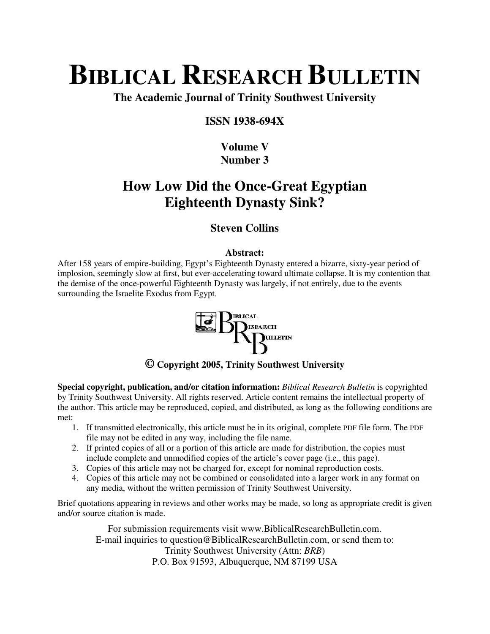# **BIBLICAL RESEARCH BULLETIN**

**The Academic Journal of Trinity Southwest University** 

### **ISSN 1938-694X**

# **Volume V Number 3**

# **How Low Did the Once-Great Egyptian Eighteenth Dynasty Sink?**

## **Steven Collins**

#### **Abstract:**

After 158 years of empire-building, Egypt's Eighteenth Dynasty entered a bizarre, sixty-year period of implosion, seemingly slow at first, but ever-accelerating toward ultimate collapse. It is my contention that the demise of the once-powerful Eighteenth Dynasty was largely, if not entirely, due to the events surrounding the Israelite Exodus from Egypt.



## **© Copyright 2005, Trinity Southwest University**

**Special copyright, publication, and/or citation information:** *Biblical Research Bulletin* is copyrighted by Trinity Southwest University. All rights reserved. Article content remains the intellectual property of the author. This article may be reproduced, copied, and distributed, as long as the following conditions are met:

- 1. If transmitted electronically, this article must be in its original, complete PDF file form. The PDF file may not be edited in any way, including the file name.
- 2. If printed copies of all or a portion of this article are made for distribution, the copies must include complete and unmodified copies of the article's cover page (i.e., this page).
- 3. Copies of this article may not be charged for, except for nominal reproduction costs.
- 4. Copies of this article may not be combined or consolidated into a larger work in any format on any media, without the written permission of Trinity Southwest University.

Brief quotations appearing in reviews and other works may be made, so long as appropriate credit is given and/or source citation is made.

For submission requirements visit www.BiblicalResearchBulletin.com. E-mail inquiries to question@BiblicalResearchBulletin.com, or send them to: Trinity Southwest University (Attn: *BRB*) P.O. Box 91593, Albuquerque, NM 87199 USA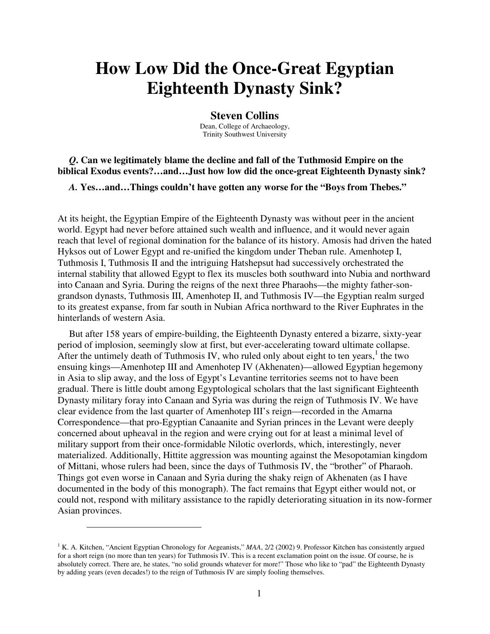# **How Low Did the Once-Great Egyptian Eighteenth Dynasty Sink?**

#### **Steven Collins**

Dean, College of Archaeology, Trinity Southwest University

#### *Q***. Can we legitimately blame the decline and fall of the Tuthmosid Empire on the biblical Exodus events?…and…Just how low did the once-great Eighteenth Dynasty sink?**

*A.* **Yes…and…Things couldn't have gotten any worse for the "Boys from Thebes."** 

At its height, the Egyptian Empire of the Eighteenth Dynasty was without peer in the ancient world. Egypt had never before attained such wealth and influence, and it would never again reach that level of regional domination for the balance of its history. Amosis had driven the hated Hyksos out of Lower Egypt and re-unified the kingdom under Theban rule. Amenhotep I, Tuthmosis I, Tuthmosis II and the intriguing Hatshepsut had successively orchestrated the internal stability that allowed Egypt to flex its muscles both southward into Nubia and northward into Canaan and Syria. During the reigns of the next three Pharaohs—the mighty father-songrandson dynasts, Tuthmosis III, Amenhotep II, and Tuthmosis IV—the Egyptian realm surged to its greatest expanse, from far south in Nubian Africa northward to the River Euphrates in the hinterlands of western Asia.

But after 158 years of empire-building, the Eighteenth Dynasty entered a bizarre, sixty-year period of implosion, seemingly slow at first, but ever-accelerating toward ultimate collapse. After the untimely death of Tuthmosis IV, who ruled only about eight to ten years, $<sup>1</sup>$  the two</sup> ensuing kings—Amenhotep III and Amenhotep IV (Akhenaten)—allowed Egyptian hegemony in Asia to slip away, and the loss of Egypt's Levantine territories seems not to have been gradual. There is little doubt among Egyptological scholars that the last significant Eighteenth Dynasty military foray into Canaan and Syria was during the reign of Tuthmosis IV. We have clear evidence from the last quarter of Amenhotep III's reign—recorded in the Amarna Correspondence—that pro-Egyptian Canaanite and Syrian princes in the Levant were deeply concerned about upheaval in the region and were crying out for at least a minimal level of military support from their once-formidable Nilotic overlords, which, interestingly, never materialized. Additionally, Hittite aggression was mounting against the Mesopotamian kingdom of Mittani, whose rulers had been, since the days of Tuthmosis IV, the "brother" of Pharaoh. Things got even worse in Canaan and Syria during the shaky reign of Akhenaten (as I have documented in the body of this monograph). The fact remains that Egypt either would not, or could not, respond with military assistance to the rapidly deteriorating situation in its now-former Asian provinces.

<sup>&</sup>lt;sup>1</sup> K. A. Kitchen, "Ancient Egyptian Chronology for Aegeanists," MAA, 2/2 (2002) 9. Professor Kitchen has consistently argued for a short reign (no more than ten years) for Tuthmosis IV. This is a recent exclamation point on the issue. Of course, he is absolutely correct. There are, he states, "no solid grounds whatever for more!" Those who like to "pad" the Eighteenth Dynasty by adding years (even decades!) to the reign of Tuthmosis IV are simply fooling themselves.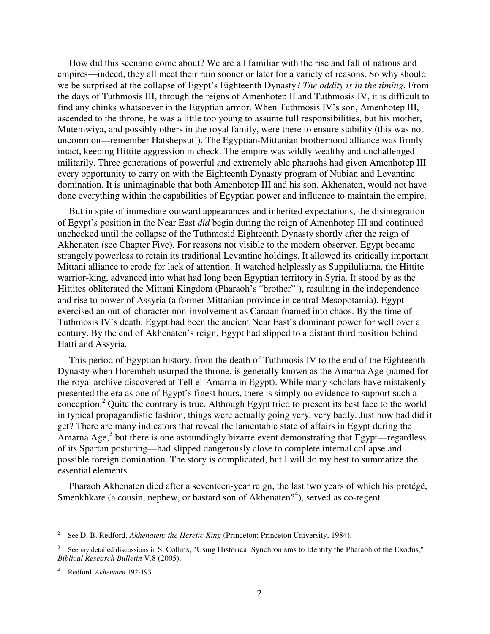How did this scenario come about? We are all familiar with the rise and fall of nations and empires—indeed, they all meet their ruin sooner or later for a variety of reasons. So why should we be surprised at the collapse of Egypt's Eighteenth Dynasty? *The oddity is in the timing*. From the days of Tuthmosis III, through the reigns of Amenhotep II and Tuthmosis IV, it is difficult to find any chinks whatsoever in the Egyptian armor. When Tuthmosis IV's son, Amenhotep III, ascended to the throne, he was a little too young to assume full responsibilities, but his mother, Mutemwiya, and possibly others in the royal family, were there to ensure stability (this was not uncommon—remember Hatshepsut!). The Egyptian-Mittanian brotherhood alliance was firmly intact, keeping Hittite aggression in check. The empire was wildly wealthy and unchallenged militarily. Three generations of powerful and extremely able pharaohs had given Amenhotep III every opportunity to carry on with the Eighteenth Dynasty program of Nubian and Levantine domination. It is unimaginable that both Amenhotep III and his son, Akhenaten, would not have done everything within the capabilities of Egyptian power and influence to maintain the empire.

But in spite of immediate outward appearances and inherited expectations, the disintegration of Egypt's position in the Near East *did* begin during the reign of Amenhotep III and continued unchecked until the collapse of the Tuthmosid Eighteenth Dynasty shortly after the reign of Akhenaten (see Chapter Five). For reasons not visible to the modern observer, Egypt became strangely powerless to retain its traditional Levantine holdings. It allowed its critically important Mittani alliance to erode for lack of attention. It watched helplessly as Suppiluliuma, the Hittite warrior-king, advanced into what had long been Egyptian territory in Syria. It stood by as the Hittites obliterated the Mittani Kingdom (Pharaoh's "brother"!), resulting in the independence and rise to power of Assyria (a former Mittanian province in central Mesopotamia). Egypt exercised an out-of-character non-involvement as Canaan foamed into chaos. By the time of Tuthmosis IV's death, Egypt had been the ancient Near East's dominant power for well over a century. By the end of Akhenaten's reign, Egypt had slipped to a distant third position behind Hatti and Assyria.

This period of Egyptian history, from the death of Tuthmosis IV to the end of the Eighteenth Dynasty when Horemheb usurped the throne, is generally known as the Amarna Age (named for the royal archive discovered at Tell el-Amarna in Egypt). While many scholars have mistakenly presented the era as one of Egypt's finest hours, there is simply no evidence to support such a conception.<sup>2</sup> Quite the contrary is true. Although Egypt tried to present its best face to the world in typical propagandistic fashion, things were actually going very, very badly. Just how bad did it get? There are many indicators that reveal the lamentable state of affairs in Egypt during the Amarna Age, $3$  but there is one astoundingly bizarre event demonstrating that Egypt—regardless of its Spartan posturing—had slipped dangerously close to complete internal collapse and possible foreign domination. The story is complicated, but I will do my best to summarize the essential elements.

Pharaoh Akhenaten died after a seventeen-year reign, the last two years of which his protégé, Smenkhkare (a cousin, nephew, or bastard son of Akhenaten $2<sup>4</sup>$ ), served as co-regent.

<sup>2</sup> See D. B. Redford, *Akhenaten: the Heretic King* (Princeton: Princeton University, 1984).

<sup>3</sup> See my detailed discussions in S. Collins, "Using Historical Synchronisms to Identify the Pharaoh of the Exodus," *Biblical Research Bulletin* V.8 (2005).

<sup>4</sup> Redford, *Akhenaten* 192-193.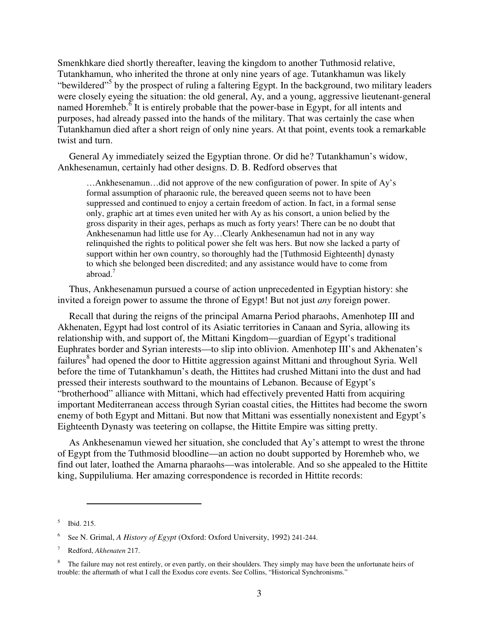Smenkhkare died shortly thereafter, leaving the kingdom to another Tuthmosid relative, Tutankhamun, who inherited the throne at only nine years of age. Tutankhamun was likely "bewildered"<sup>5</sup> by the prospect of ruling a faltering Egypt. In the background, two military leaders were closely eyeing the situation: the old general, Ay, and a young, aggressive lieutenant-general named Horemheb. $\frac{3}{6}$  It is entirely probable that the power-base in Egypt, for all intents and purposes, had already passed into the hands of the military. That was certainly the case when Tutankhamun died after a short reign of only nine years. At that point, events took a remarkable twist and turn.

General Ay immediately seized the Egyptian throne. Or did he? Tutankhamun's widow, Ankhesenamun, certainly had other designs. D. B. Redford observes that

…Ankhesenamun…did not approve of the new configuration of power. In spite of Ay's formal assumption of pharaonic rule, the bereaved queen seems not to have been suppressed and continued to enjoy a certain freedom of action. In fact, in a formal sense only, graphic art at times even united her with Ay as his consort, a union belied by the gross disparity in their ages, perhaps as much as forty years! There can be no doubt that Ankhesenamun had little use for Ay…Clearly Ankhesenamun had not in any way relinquished the rights to political power she felt was hers. But now she lacked a party of support within her own country, so thoroughly had the [Tuthmosid Eighteenth] dynasty to which she belonged been discredited; and any assistance would have to come from abroad.<sup>7</sup>

Thus, Ankhesenamun pursued a course of action unprecedented in Egyptian history: she invited a foreign power to assume the throne of Egypt! But not just *any* foreign power.

Recall that during the reigns of the principal Amarna Period pharaohs, Amenhotep III and Akhenaten, Egypt had lost control of its Asiatic territories in Canaan and Syria, allowing its relationship with, and support of, the Mittani Kingdom—guardian of Egypt's traditional Euphrates border and Syrian interests—to slip into oblivion. Amenhotep III's and Akhenaten's failures<sup>8</sup> had opened the door to Hittite aggression against Mittani and throughout Syria. Well before the time of Tutankhamun's death, the Hittites had crushed Mittani into the dust and had pressed their interests southward to the mountains of Lebanon. Because of Egypt's "brotherhood" alliance with Mittani, which had effectively prevented Hatti from acquiring important Mediterranean access through Syrian coastal cities, the Hittites had become the sworn enemy of both Egypt and Mittani. But now that Mittani was essentially nonexistent and Egypt's Eighteenth Dynasty was teetering on collapse, the Hittite Empire was sitting pretty.

As Ankhesenamun viewed her situation, she concluded that Ay's attempt to wrest the throne of Egypt from the Tuthmosid bloodline—an action no doubt supported by Horemheb who, we find out later, loathed the Amarna pharaohs—was intolerable. And so she appealed to the Hittite king, Suppiluliuma. Her amazing correspondence is recorded in Hittite records:

<sup>5</sup> Ibid. 215.

<sup>6</sup> See N. Grimal, *A History of Egypt* (Oxford: Oxford University, 1992) 241-244.

<sup>7</sup> Redford, *Akhenaten* 217.

<sup>8</sup> The failure may not rest entirely, or even partly, on their shoulders. They simply may have been the unfortunate heirs of trouble: the aftermath of what I call the Exodus core events. See Collins, "Historical Synchronisms."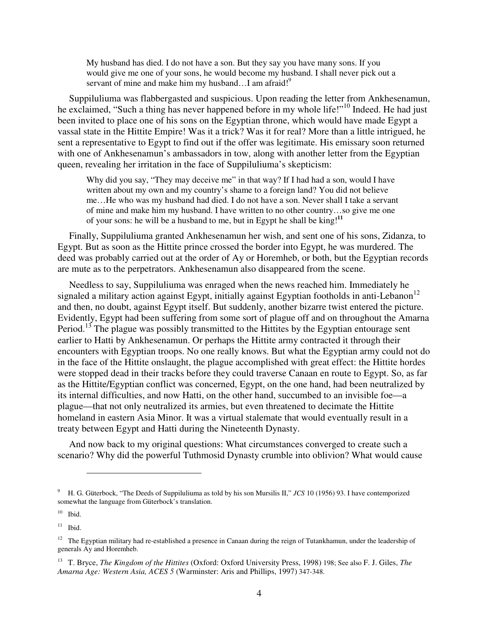My husband has died. I do not have a son. But they say you have many sons. If you would give me one of your sons, he would become my husband. I shall never pick out a servant of mine and make him my husband...I am afraid!<sup>9</sup>

Suppiluliuma was flabbergasted and suspicious. Upon reading the letter from Ankhesenamun, he exclaimed, "Such a thing has never happened before in my whole life!"<sup>10</sup> Indeed. He had just been invited to place one of his sons on the Egyptian throne, which would have made Egypt a vassal state in the Hittite Empire! Was it a trick? Was it for real? More than a little intrigued, he sent a representative to Egypt to find out if the offer was legitimate. His emissary soon returned with one of Ankhesenamun's ambassadors in tow, along with another letter from the Egyptian queen, revealing her irritation in the face of Suppiluliuma's skepticism:

Why did you say, "They may deceive me" in that way? If I had had a son, would I have written about my own and my country's shame to a foreign land? You did not believe me…He who was my husband had died. I do not have a son. Never shall I take a servant of mine and make him my husband. I have written to no other country…so give me one of your sons: he will be a husband to me, but in Egypt he shall be king!**<sup>11</sup>**

Finally, Suppiluliuma granted Ankhesenamun her wish, and sent one of his sons, Zidanza, to Egypt. But as soon as the Hittite prince crossed the border into Egypt, he was murdered. The deed was probably carried out at the order of Ay or Horemheb, or both, but the Egyptian records are mute as to the perpetrators. Ankhesenamun also disappeared from the scene.

Needless to say, Suppiluliuma was enraged when the news reached him. Immediately he signaled a military action against Egypt, initially against Egyptian footholds in anti-Lebanon<sup>12</sup> and then, no doubt, against Egypt itself. But suddenly, another bizarre twist entered the picture. Evidently, Egypt had been suffering from some sort of plague off and on throughout the Amarna Period.<sup>13</sup> The plague was possibly transmitted to the Hittites by the Egyptian entourage sent earlier to Hatti by Ankhesenamun. Or perhaps the Hittite army contracted it through their encounters with Egyptian troops. No one really knows. But what the Egyptian army could not do in the face of the Hittite onslaught, the plague accomplished with great effect: the Hittite hordes were stopped dead in their tracks before they could traverse Canaan en route to Egypt. So, as far as the Hittite/Egyptian conflict was concerned, Egypt, on the one hand, had been neutralized by its internal difficulties, and now Hatti, on the other hand, succumbed to an invisible foe—a plague—that not only neutralized its armies, but even threatened to decimate the Hittite homeland in eastern Asia Minor. It was a virtual stalemate that would eventually result in a treaty between Egypt and Hatti during the Nineteenth Dynasty.

And now back to my original questions: What circumstances converged to create such a scenario? Why did the powerful Tuthmosid Dynasty crumble into oblivion? What would cause

<sup>9</sup> H. G. Güterbock, "The Deeds of Suppiluliuma as told by his son Mursilis II," *JCS* 10 (1956) 93. I have contemporized somewhat the language from Güterbock's translation.

 $10$  Ibid.

 $11$  Ibid.

 $12$  The Egyptian military had re-established a presence in Canaan during the reign of Tutankhamun, under the leadership of generals Ay and Horemheb.

<sup>13</sup> T. Bryce, *The Kingdom of the Hittites* (Oxford: Oxford University Press, 1998) 198; See also F. J. Giles, *The Amarna Age: Western Asia, ACES 5* (Warminster: Aris and Phillips, 1997) 347-348.